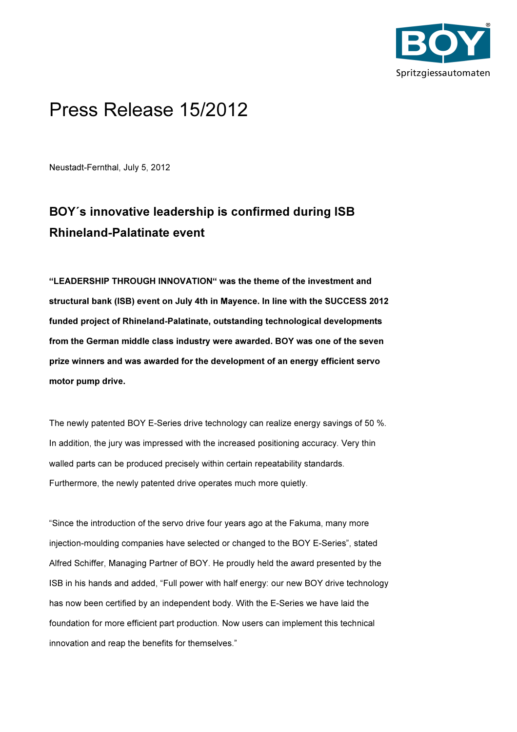

## Press Release 15/2012

Neustadt-Fernthal, July 5, 2012

## BOY´s innovative leadership is confirmed during ISB Rhineland-Palatinate event

"LEADERSHIP THROUGH INNOVATION" was the theme of the investment and structural bank (ISB) event on July 4th in Mayence. In line with the SUCCESS 2012 funded project of Rhineland-Palatinate, outstanding technological developments from the German middle class industry were awarded. BOY was one of the seven prize winners and was awarded for the development of an energy efficient servo motor pump drive.

The newly patented BOY E-Series drive technology can realize energy savings of 50 %. In addition, the jury was impressed with the increased positioning accuracy. Very thin walled parts can be produced precisely within certain repeatability standards. Furthermore, the newly patented drive operates much more quietly.

"Since the introduction of the servo drive four years ago at the Fakuma, many more injection-moulding companies have selected or changed to the BOY E-Series", stated Alfred Schiffer, Managing Partner of BOY. He proudly held the award presented by the ISB in his hands and added, "Full power with half energy: our new BOY drive technology has now been certified by an independent body. With the E-Series we have laid the foundation for more efficient part production. Now users can implement this technical innovation and reap the benefits for themselves."